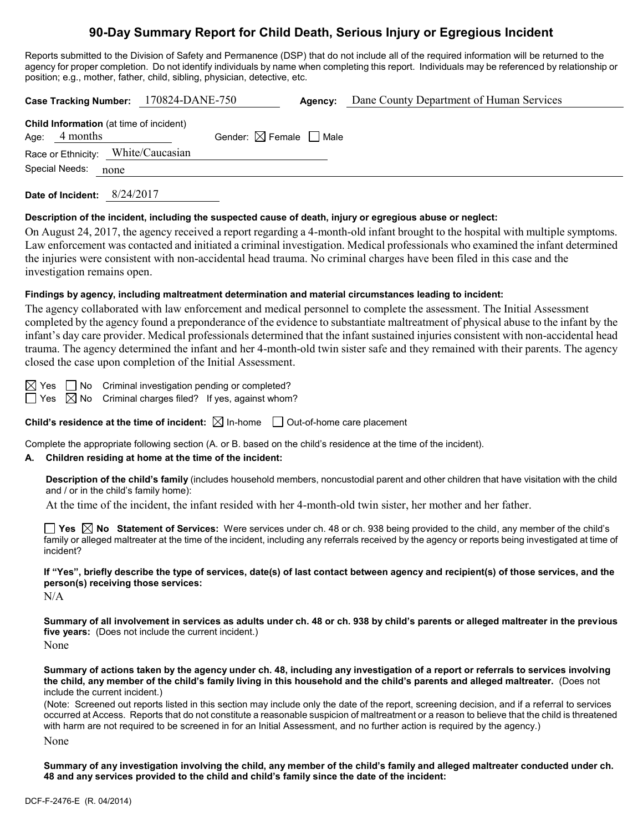# **90-Day Summary Report for Child Death, Serious Injury or Egregious Incident**

Reports submitted to the Division of Safety and Permanence (DSP) that do not include all of the required information will be returned to the agency for proper completion. Do not identify individuals by name when completing this report. Individuals may be referenced by relationship or position; e.g., mother, father, child, sibling, physician, detective, etc.

| Case Tracking Number: 170824-DANE-750                      |                                        | Agency: | Dane County Department of Human Services |
|------------------------------------------------------------|----------------------------------------|---------|------------------------------------------|
| Child Information (at time of incident)<br>Age: $4$ months | Gender: $\boxtimes$ Female $\Box$ Male |         |                                          |
| Race or Ethnicity: White/Caucasian                         |                                        |         |                                          |
| Special Needs: none                                        |                                        |         |                                          |
|                                                            |                                        |         |                                          |

**Date of Incident:** 8/24/2017

#### **Description of the incident, including the suspected cause of death, injury or egregious abuse or neglect:**

On August 24, 2017, the agency received a report regarding a 4-month-old infant brought to the hospital with multiple symptoms. Law enforcement was contacted and initiated a criminal investigation. Medical professionals who examined the infant determined the injuries were consistent with non-accidental head trauma. No criminal charges have been filed in this case and the investigation remains open.

#### **Findings by agency, including maltreatment determination and material circumstances leading to incident:**

The agency collaborated with law enforcement and medical personnel to complete the assessment. The Initial Assessment completed by the agency found a preponderance of the evidence to substantiate maltreatment of physical abuse to the infant by the infant's day care provider. Medical professionals determined that the infant sustained injuries consistent with non-accidental head trauma. The agency determined the infant and her 4-month-old twin sister safe and they remained with their parents. The agency closed the case upon completion of the Initial Assessment.

 $\boxtimes$  Yes  $\Box$  No Criminal investigation pending or completed?

 $\Box$  Yes  $\boxtimes$  No Criminal charges filed? If yes, against whom?

**Child's residence at the time of incident:**  $\boxtimes$  In-home  $\Box$  Out-of-home care placement

Complete the appropriate following section (A. or B. based on the child's residence at the time of the incident).

#### **A. Children residing at home at the time of the incident:**

**Description of the child's family** (includes household members, noncustodial parent and other children that have visitation with the child and / or in the child's family home):

At the time of the incident, the infant resided with her 4-month-old twin sister, her mother and her father.

**Yes No Statement of Services:** Were services under ch. 48 or ch. 938 being provided to the child, any member of the child's family or alleged maltreater at the time of the incident, including any referrals received by the agency or reports being investigated at time of incident?

**If "Yes", briefly describe the type of services, date(s) of last contact between agency and recipient(s) of those services, and the person(s) receiving those services:**

N/A

**Summary of all involvement in services as adults under ch. 48 or ch. 938 by child's parents or alleged maltreater in the previous five years:** (Does not include the current incident.)

None

**Summary of actions taken by the agency under ch. 48, including any investigation of a report or referrals to services involving the child, any member of the child's family living in this household and the child's parents and alleged maltreater.** (Does not include the current incident.)

(Note: Screened out reports listed in this section may include only the date of the report, screening decision, and if a referral to services occurred at Access. Reports that do not constitute a reasonable suspicion of maltreatment or a reason to believe that the child is threatened with harm are not required to be screened in for an Initial Assessment, and no further action is required by the agency.) None

**Summary of any investigation involving the child, any member of the child's family and alleged maltreater conducted under ch. 48 and any services provided to the child and child's family since the date of the incident:**